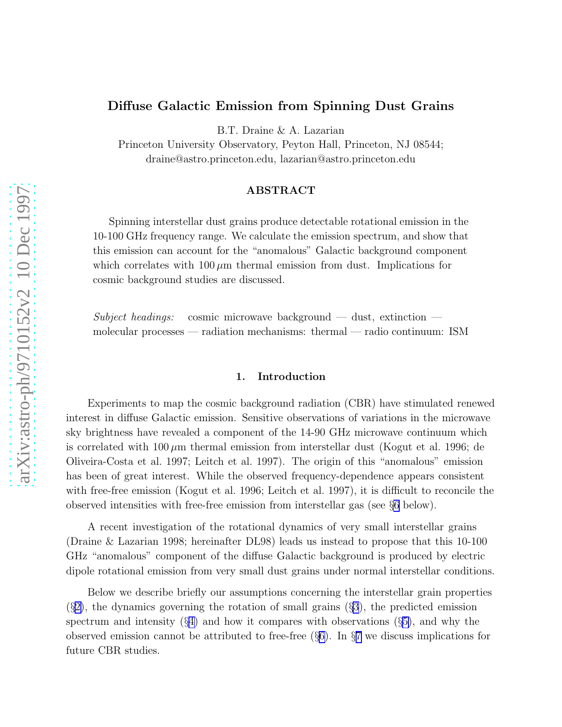# Diffuse Galactic Emission from Spinning Dust Grains

B.T. Draine & A. Lazarian

Princeton University Observatory, Peyton Hall, Princeton, NJ 08544; draine@astro.princeton.edu, lazarian@astro.princeton.edu

# ABSTRACT

Spinning interstellar dust grains produce detectable rotational emission in the 10-100 GHz frequency range. We calculate the emission spectrum, and show that this emission can account for the "anomalous" Galactic background component which correlates with  $100 \mu m$  thermal emission from dust. Implications for cosmic background studies are discussed.

Subject headings: cosmic microwave background — dust, extinction molecular processes — radiation mechanisms: thermal — radio continuum: ISM

## 1. Introduction

Experiments to map the cosmic background radiation (CBR) have stimulated renewed interest in diffuse Galactic emission. Sensitive observations of variations in the microwave sky brightness have revealed a component of the 14-90 GHz microwave continuum which is correlated with  $100 \mu m$  thermal emission from interstellar dust (Kogut et al. 1996; de Oliveira-Costa et al. 1997; Leitch et al. 1997). The origin of this "anomalous" emission has been of great interest. While the observed frequency-dependence appears consistent with free-free emission (Kogut et al. 1996; Leitch et al. 1997), it is difficult to reconcile the observed intensities with free-free emission from interstellar gas (see §[6](#page-5-0) below).

A recent investigation of the rotational dynamics of very small interstellar grains (Draine & Lazarian 1998; hereinafter DL98) leads us instead to propose that this 10-100 GHz "anomalous" component of the diffuse Galactic background is produced by electric dipole rotational emission from very small dust grains under normal interstellar conditions.

Below we describe briefly our assumptions concerning the interstellar grain properties  $(\S2)$  $(\S2)$ , the dynamics governing the rotation of small grains  $(\S3)$  $(\S3)$  $(\S3)$ , the predicted emission spectrum and intensity  $(\S 4)$  $(\S 4)$  and how it compares with observations  $(\S 5)$  $(\S 5)$ , and why the observed emission cannot be attributed to free-free (§[6\)](#page-5-0). In §[7](#page-5-0) we discuss implications for future CBR studies.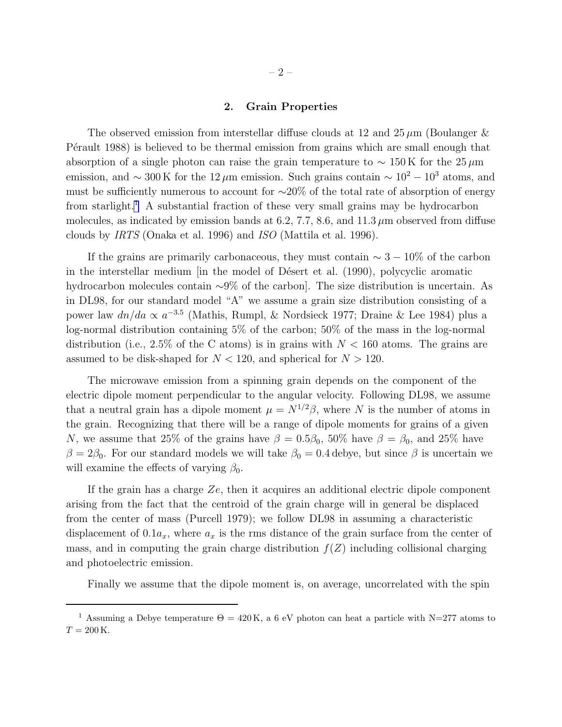#### 2. Grain Properties

<span id="page-1-0"></span>The observed emission from interstellar diffuse clouds at 12 and  $25 \mu m$  (Boulanger & P $\acute{e}$ rault 1988) is believed to be thermal emission from grains which are small enough that absorption of a single photon can raise the grain temperature to  $\sim 150 \,\mathrm{K}$  for the 25  $\mu$ m emission, and  $\sim 300 \,\mathrm{K}$  for the 12  $\mu$ m emission. Such grains contain  $\sim 10^2 - 10^3$  atoms, and must be sufficiently numerous to account for ∼20% of the total rate of absorption of energy from starlight.<sup>1</sup> A substantial fraction of these very small grains may be hydrocarbon molecules, as indicated by emission bands at 6.2, 7.7, 8.6, and 11.3  $\mu$ m observed from diffuse clouds by IRTS (Onaka et al. 1996) and ISO (Mattila et al. 1996).

If the grains are primarily carbonaceous, they must contain  $\sim 3 - 10\%$  of the carbon in the interstellar medium [in the model of Désert et al. (1990), polycyclic aromatic hydrocarbon molecules contain ∼9% of the carbon]. The size distribution is uncertain. As in DL98, for our standard model "A" we assume a grain size distribution consisting of a power law  $dn/da \propto a^{-3.5}$  (Mathis, Rumpl, & Nordsieck 1977; Draine & Lee 1984) plus a log-normal distribution containing 5% of the carbon; 50% of the mass in the log-normal distribution (i.e., 2.5% of the C atoms) is in grains with  $N < 160$  atoms. The grains are assumed to be disk-shaped for  $N < 120$ , and spherical for  $N > 120$ .

The microwave emission from a spinning grain depends on the component of the electric dipole moment perpendicular to the angular velocity. Following DL98, we assume that a neutral grain has a dipole moment  $\mu = N^{1/2}\beta$ , where N is the number of atoms in the grain. Recognizing that there will be a range of dipole moments for grains of a given N, we assume that 25% of the grains have  $\beta = 0.5\beta_0$ , 50% have  $\beta = \beta_0$ , and 25% have  $\beta = 2\beta_0$ . For our standard models we will take  $\beta_0 = 0.4$  debye, but since  $\beta$  is uncertain we will examine the effects of varying  $\beta_0$ .

If the grain has a charge  $Ze$ , then it acquires an additional electric dipole component arising from the fact that the centroid of the grain charge will in general be displaced from the center of mass (Purcell 1979); we follow DL98 in assuming a characteristic displacement of  $0.1a_x$ , where  $a_x$  is the rms distance of the grain surface from the center of mass, and in computing the grain charge distribution  $f(Z)$  including collisional charging and photoelectric emission.

Finally we assume that the dipole moment is, on average, uncorrelated with the spin

<sup>&</sup>lt;sup>1</sup> Assuming a Debye temperature  $\Theta = 420 \text{ K}$ , a 6 eV photon can heat a particle with N=277 atoms to  $T=200\,\rm K.$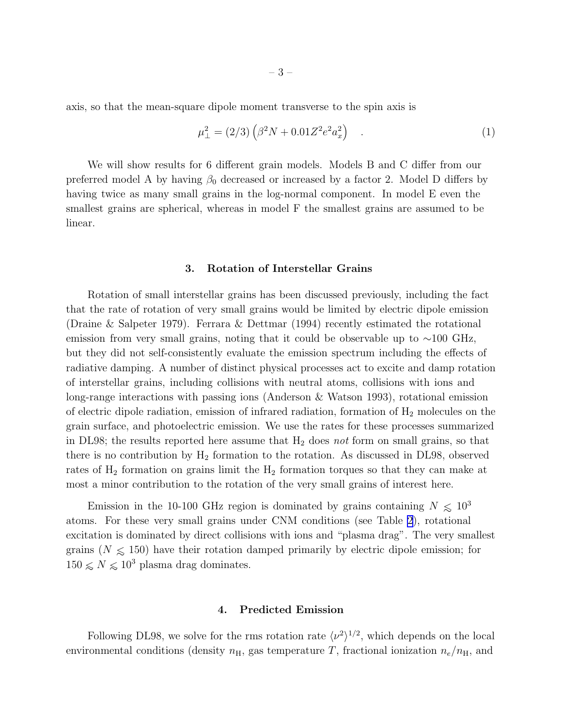<span id="page-2-0"></span>axis, so that the mean-square dipole moment transverse to the spin axis is

$$
\mu_{\perp}^{2} = (2/3) \left( \beta^{2} N + 0.01 Z^{2} e^{2} a_{x}^{2} \right) \quad . \tag{1}
$$

We will show results for 6 different grain models. Models B and C differ from our preferred model A by having  $\beta_0$  decreased or increased by a factor 2. Model D differs by having twice as many small grains in the log-normal component. In model E even the smallest grains are spherical, whereas in model F the smallest grains are assumed to be linear.

## 3. Rotation of Interstellar Grains

Rotation of small interstellar grains has been discussed previously, including the fact that the rate of rotation of very small grains would be limited by electric dipole emission (Draine & Salpeter 1979). Ferrara & Dettmar (1994) recently estimated the rotational emission from very small grains, noting that it could be observable up to  $\sim$ 100 GHz, but they did not self-consistently evaluate the emission spectrum including the effects of radiative damping. A number of distinct physical processes act to excite and damp rotation of interstellar grains, including collisions with neutral atoms, collisions with ions and long-range interactions with passing ions (Anderson & Watson 1993), rotational emission of electric dipole radiation, emission of infrared radiation, formation of  $H_2$  molecules on the grain surface, and photoelectric emission. We use the rates for these processes summarized in DL98; the results reported here assume that  $H_2$  does not form on small grains, so that there is no contribution by  $H_2$  formation to the rotation. As discussed in DL98, observed rates of  $H_2$  formation on grains limit the  $H_2$  formation torques so that they can make at most a minor contribution to the rotation of the very small grains of interest here.

Emission in the 10-100 GHz region is dominated by grains containing  $N \leq 10^3$ atoms. For these very small grains under CNM conditions (see Table [2](#page-12-0)), rotational excitation is dominated by direct collisions with ions and "plasma drag". The very smallest grains ( $N \le 150$ ) have their rotation damped primarily by electric dipole emission; for  $150 \lesssim N \lesssim 10^3$  plasma drag dominates.

## 4. Predicted Emission

Following DL98, we solve for the rms rotation rate  $\langle \nu^2 \rangle^{1/2}$ , which depends on the local environmental conditions (density  $n_{\rm H}$ , gas temperature T, fractional ionization  $n_e/n_{\rm H}$ , and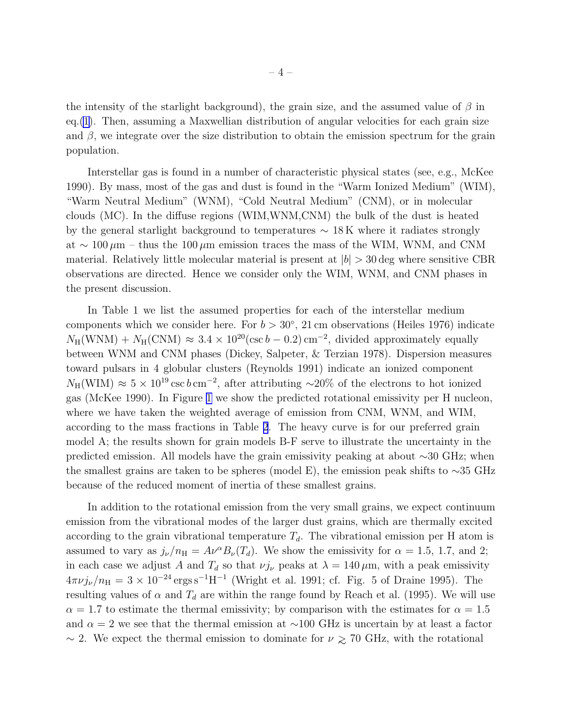the intensity of the starlight background), the grain size, and the assumed value of  $\beta$  in eq.[\(1\)](#page-2-0). Then, assuming a Maxwellian distribution of angular velocities for each grain size and  $\beta$ , we integrate over the size distribution to obtain the emission spectrum for the grain population.

Interstellar gas is found in a number of characteristic physical states (see, e.g., McKee 1990). By mass, most of the gas and dust is found in the "Warm Ionized Medium" (WIM), "Warm Neutral Medium" (WNM), "Cold Neutral Medium" (CNM), or in molecular clouds (MC). In the diffuse regions (WIM,WNM,CNM) the bulk of the dust is heated by the general starlight background to temperatures  $\sim 18 \,\mathrm{K}$  where it radiates strongly at ~ 100  $\mu$ m – thus the 100  $\mu$ m emission traces the mass of the WIM, WNM, and CNM material. Relatively little molecular material is present at  $|b| > 30$  deg where sensitive CBR observations are directed. Hence we consider only the WIM, WNM, and CNM phases in the present discussion.

In Table 1 we list the assumed properties for each of the interstellar medium components which we consider here. For  $b > 30^{\circ}$ , 21 cm observations (Heiles 1976) indicate  $N_{\rm H}({\rm WNM}) + N_{\rm H}({\rm CNM}) \approx 3.4 \times 10^{20} (\csc b - 0.2) \,\rm cm^{-2}$ , divided approximately equally between WNM and CNM phases (Dickey, Salpeter, & Terzian 1978). Dispersion measures toward pulsars in 4 globular clusters (Reynolds 1991) indicate an ionized component  $N_{\rm H}({\rm WIM}) \approx 5 \times 10^{19} \,{\rm csc} \,b \,{\rm cm}^{-2}$ , after attributing ~20% of the electrons to hot ionized gas (McKee 1990). In Figure [1](#page-9-0) we show the predicted rotational emissivity per H nucleon, where we have taken the weighted average of emission from CNM, WNM, and WIM, according to the mass fractions in Table [2](#page-12-0). The heavy curve is for our preferred grain model A; the results shown for grain models B-F serve to illustrate the uncertainty in the predicted emission. All models have the grain emissivity peaking at about ∼30 GHz; when the smallest grains are taken to be spheres (model E), the emission peak shifts to  $\sim$ 35 GHz because of the reduced moment of inertia of these smallest grains.

In addition to the rotational emission from the very small grains, we expect continuum emission from the vibrational modes of the larger dust grains, which are thermally excited according to the grain vibrational temperature  $T<sub>d</sub>$ . The vibrational emission per H atom is assumed to vary as  $j_{\nu}/n_{\rm H} = A\nu^{\alpha}B_{\nu}(T_d)$ . We show the emissivity for  $\alpha = 1.5, 1.7,$  and 2; in each case we adjust A and  $T_d$  so that  $\nu j_\nu$  peaks at  $\lambda = 140 \,\mu\text{m}$ , with a peak emissivity  $4\pi\nu j_{\nu}/n_{\rm H} = 3 \times 10^{-24} \,\rm ergs\,s^{-1}H^{-1}$  (Wright et al. 1991; cf. Fig. 5 of Draine 1995). The resulting values of  $\alpha$  and  $T_d$  are within the range found by Reach et al. (1995). We will use  $\alpha = 1.7$  to estimate the thermal emissivity; by comparison with the estimates for  $\alpha = 1.5$ and  $\alpha = 2$  we see that the thermal emission at ~100 GHz is uncertain by at least a factor  $\sim$  2. We expect the thermal emission to dominate for  $\nu \gtrsim 70$  GHz, with the rotational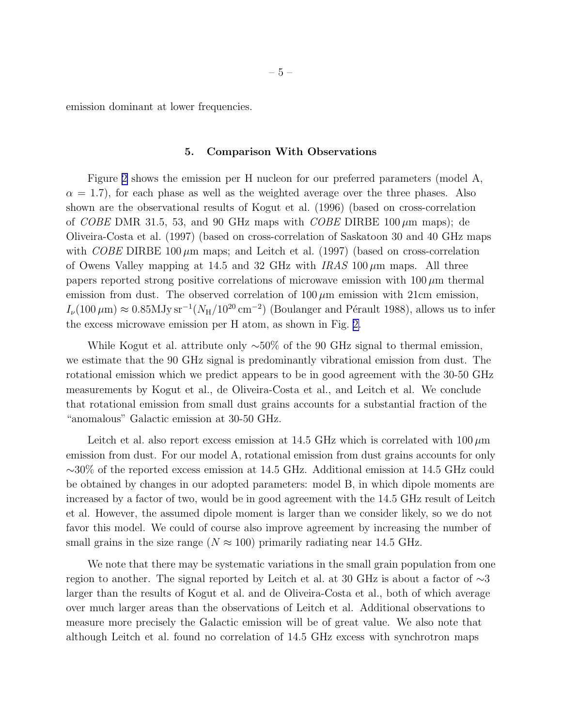<span id="page-4-0"></span>emission dominant at lower frequencies.

## 5. Comparison With Observations

Figure [2](#page-10-0) shows the emission per H nucleon for our preferred parameters (model A,  $\alpha = 1.7$ , for each phase as well as the weighted average over the three phases. Also shown are the observational results of Kogut et al. (1996) (based on cross-correlation of *COBE* DMR 31.5, 53, and 90 GHz maps with *COBE* DIRBE 100  $\mu$ m maps); de Oliveira-Costa et al. (1997) (based on cross-correlation of Saskatoon 30 and 40 GHz maps with COBE DIRBE 100  $\mu$ m maps; and Leitch et al. (1997) (based on cross-correlation of Owens Valley mapping at 14.5 and 32 GHz with  $IRAS$  100  $\mu$ m maps. All three papers reported strong positive correlations of microwave emission with  $100 \mu m$  thermal emission from dust. The observed correlation of  $100 \mu m$  emission with 21cm emission,  $I_{\nu}(100 \,\mu\text{m}) \approx 0.85 \text{MJy}\,\text{sr}^{-1}(N_{\text{H}}/10^{20}\,\text{cm}^{-2})$  (Boulanger and Pérault 1988), allows us to infer the excess microwave emission per H atom, as shown in Fig. [2.](#page-10-0)

While Kogut et al. attribute only  $\sim$ 50% of the 90 GHz signal to thermal emission, we estimate that the 90 GHz signal is predominantly vibrational emission from dust. The rotational emission which we predict appears to be in good agreement with the 30-50 GHz measurements by Kogut et al., de Oliveira-Costa et al., and Leitch et al. We conclude that rotational emission from small dust grains accounts for a substantial fraction of the "anomalous" Galactic emission at 30-50 GHz.

Leitch et al. also report excess emission at 14.5 GHz which is correlated with  $100 \,\mu m$ emission from dust. For our model A, rotational emission from dust grains accounts for only ∼30% of the reported excess emission at 14.5 GHz. Additional emission at 14.5 GHz could be obtained by changes in our adopted parameters: model B, in which dipole moments are increased by a factor of two, would be in good agreement with the 14.5 GHz result of Leitch et al. However, the assumed dipole moment is larger than we consider likely, so we do not favor this model. We could of course also improve agreement by increasing the number of small grains in the size range ( $N \approx 100$ ) primarily radiating near 14.5 GHz.

We note that there may be systematic variations in the small grain population from one region to another. The signal reported by Leitch et al. at 30 GHz is about a factor of ∼3 larger than the results of Kogut et al. and de Oliveira-Costa et al., both of which average over much larger areas than the observations of Leitch et al. Additional observations to measure more precisely the Galactic emission will be of great value. We also note that although Leitch et al. found no correlation of 14.5 GHz excess with synchrotron maps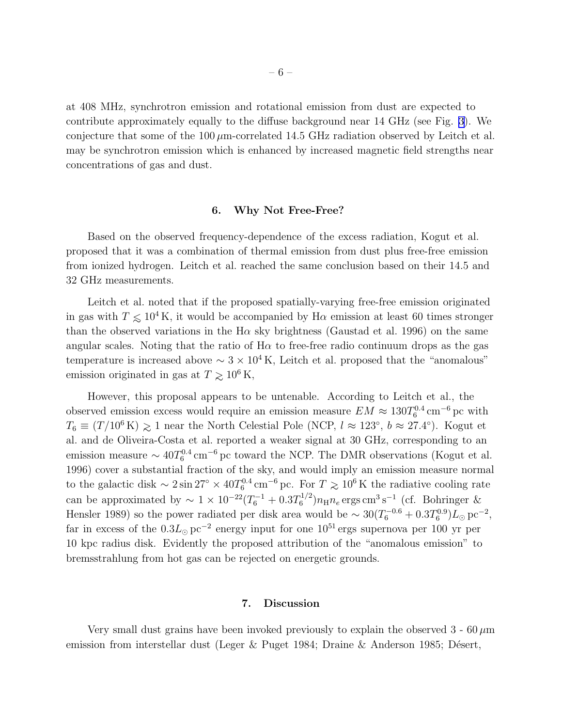<span id="page-5-0"></span>at 408 MHz, synchrotron emission and rotational emission from dust are expected to contribute approximately equally to the diffuse background near 14 GHz (see Fig. [3\)](#page-11-0). We conjecture that some of the  $100 \mu$ m-correlated 14.5 GHz radiation observed by Leitch et al. may be synchrotron emission which is enhanced by increased magnetic field strengths near concentrations of gas and dust.

#### 6. Why Not Free-Free?

Based on the observed frequency-dependence of the excess radiation, Kogut et al. proposed that it was a combination of thermal emission from dust plus free-free emission from ionized hydrogen. Leitch et al. reached the same conclusion based on their 14.5 and 32 GHz measurements.

Leitch et al. noted that if the proposed spatially-varying free-free emission originated in gas with  $T \leq 10^4$ K, it would be accompanied by H $\alpha$  emission at least 60 times stronger than the observed variations in the H $\alpha$  sky brightness (Gaustad et al. 1996) on the same angular scales. Noting that the ratio of  $H\alpha$  to free-free radio continuum drops as the gas temperature is increased above  $\sim 3 \times 10^4$  K, Leitch et al. proposed that the "anomalous" emission originated in gas at  $T \gtrsim 10^6$  K,

However, this proposal appears to be untenable. According to Leitch et al., the observed emission excess would require an emission measure  $EM \approx 130T_6^{0.4}$  cm<sup>-6</sup> pc with  $T_6 \equiv (T/10^6 \text{ K}) \geq 1$  near the North Celestial Pole (NCP,  $l \approx 123^{\circ}$ ,  $b \approx 27.4^{\circ}$ ). Kogut et al. and de Oliveira-Costa et al. reported a weaker signal at 30 GHz, corresponding to an emission measure  $\sim 40T_6^{0.4}$  cm<sup>-6</sup> pc toward the NCP. The DMR observations (Kogut et al. 1996) cover a substantial fraction of the sky, and would imply an emission measure normal to the galactic disk  $\sim 2 \sin 27^{\circ} \times 40T_6^{0.4}$  cm<sup>-6</sup> pc. For  $T \gtrsim 10^6$  K the radiative cooling rate can be approximated by  $\sim 1 \times 10^{-22} (T_6^{-1} + 0.3T_6^{1/2}) n_H n_e$  ergs cm<sup>3</sup>s<sup>-1</sup> (cf. Bohringer & Hensler 1989) so the power radiated per disk area would be  $\sim 30(T_6^{-0.6} + 0.3T_6^{0.9})L_{\odot}$  pc<sup>-2</sup>, far in excess of the  $0.3L_{\odot}$  pc<sup>-2</sup> energy input for one  $10^{51}$  ergs supernova per 100 yr per 10 kpc radius disk. Evidently the proposed attribution of the "anomalous emission" to bremsstrahlung from hot gas can be rejected on energetic grounds.

# 7. Discussion

Very small dust grains have been invoked previously to explain the observed  $3 - 60 \,\mu m$ emission from interstellar dust (Leger & Puget 1984; Draine & Anderson 1985; Désert,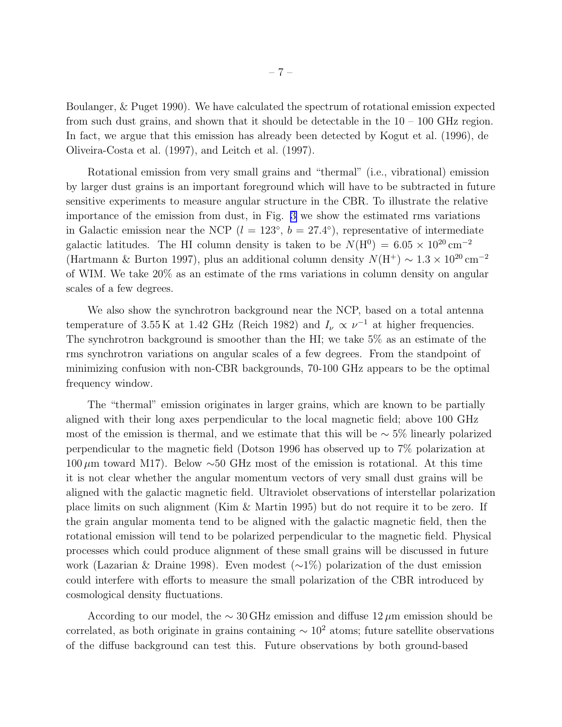Boulanger, & Puget 1990). We have calculated the spectrum of rotational emission expected from such dust grains, and shown that it should be detectable in the  $10 - 100$  GHz region. In fact, we argue that this emission has already been detected by Kogut et al. (1996), de Oliveira-Costa et al. (1997), and Leitch et al. (1997).

Rotational emission from very small grains and "thermal" (i.e., vibrational) emission by larger dust grains is an important foreground which will have to be subtracted in future sensitive experiments to measure angular structure in the CBR. To illustrate the relative importance of the emission from dust, in Fig. [3](#page-11-0) we show the estimated rms variations in Galactic emission near the NCP  $(l = 123^{\circ}, b = 27.4^{\circ})$ , representative of intermediate galactic latitudes. The HI column density is taken to be  $N(\text{H}^0) = 6.05 \times 10^{20} \text{ cm}^{-2}$ (Hartmann & Burton 1997), plus an additional column density  $N(H^+) \sim 1.3 \times 10^{20}$  cm<sup>-2</sup> of WIM. We take 20% as an estimate of the rms variations in column density on angular scales of a few degrees.

We also show the synchrotron background near the NCP, based on a total antenna temperature of 3.55 K at 1.42 GHz (Reich 1982) and  $I_{\nu} \propto \nu^{-1}$  at higher frequencies. The synchrotron background is smoother than the HI; we take 5% as an estimate of the rms synchrotron variations on angular scales of a few degrees. From the standpoint of minimizing confusion with non-CBR backgrounds, 70-100 GHz appears to be the optimal frequency window.

The "thermal" emission originates in larger grains, which are known to be partially aligned with their long axes perpendicular to the local magnetic field; above 100 GHz most of the emission is thermal, and we estimate that this will be  $\sim$  5% linearly polarized perpendicular to the magnetic field (Dotson 1996 has observed up to 7% polarization at 100  $\mu$ m toward M17). Below ∼50 GHz most of the emission is rotational. At this time it is not clear whether the angular momentum vectors of very small dust grains will be aligned with the galactic magnetic field. Ultraviolet observations of interstellar polarization place limits on such alignment (Kim & Martin 1995) but do not require it to be zero. If the grain angular momenta tend to be aligned with the galactic magnetic field, then the rotational emission will tend to be polarized perpendicular to the magnetic field. Physical processes which could produce alignment of these small grains will be discussed in future work (Lazarian & Draine 1998). Even modest (∼1%) polarization of the dust emission could interfere with efforts to measure the small polarization of the CBR introduced by cosmological density fluctuations.

According to our model, the  $\sim 30 \text{ GHz}$  emission and diffuse  $12 \mu$ m emission should be correlated, as both originate in grains containing  $\sim 10^2$  atoms; future satellite observations of the diffuse background can test this. Future observations by both ground-based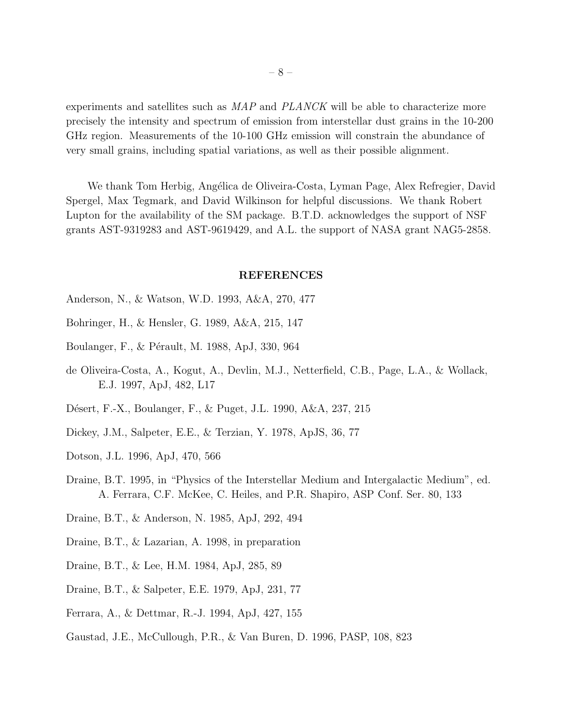experiments and satellites such as MAP and PLANCK will be able to characterize more precisely the intensity and spectrum of emission from interstellar dust grains in the 10-200 GHz region. Measurements of the 10-100 GHz emission will constrain the abundance of very small grains, including spatial variations, as well as their possible alignment.

We thank Tom Herbig, Angélica de Oliveira-Costa, Lyman Page, Alex Refregier, David Spergel, Max Tegmark, and David Wilkinson for helpful discussions. We thank Robert Lupton for the availability of the SM package. B.T.D. acknowledges the support of NSF grants AST-9319283 and AST-9619429, and A.L. the support of NASA grant NAG5-2858.

#### REFERENCES

- Anderson, N., & Watson, W.D. 1993, A&A, 270, 477
- Bohringer, H., & Hensler, G. 1989, A&A, 215, 147
- Boulanger, F., & Pérault, M. 1988, ApJ, 330, 964
- de Oliveira-Costa, A., Kogut, A., Devlin, M.J., Netterfield, C.B., Page, L.A., & Wollack, E.J. 1997, ApJ, 482, L17
- D´esert, F.-X., Boulanger, F., & Puget, J.L. 1990, A&A, 237, 215
- Dickey, J.M., Salpeter, E.E., & Terzian, Y. 1978, ApJS, 36, 77
- Dotson, J.L. 1996, ApJ, 470, 566
- Draine, B.T. 1995, in "Physics of the Interstellar Medium and Intergalactic Medium", ed. A. Ferrara, C.F. McKee, C. Heiles, and P.R. Shapiro, ASP Conf. Ser. 80, 133
- Draine, B.T., & Anderson, N. 1985, ApJ, 292, 494
- Draine, B.T., & Lazarian, A. 1998, in preparation
- Draine, B.T., & Lee, H.M. 1984, ApJ, 285, 89
- Draine, B.T., & Salpeter, E.E. 1979, ApJ, 231, 77
- Ferrara, A., & Dettmar, R.-J. 1994, ApJ, 427, 155
- Gaustad, J.E., McCullough, P.R., & Van Buren, D. 1996, PASP, 108, 823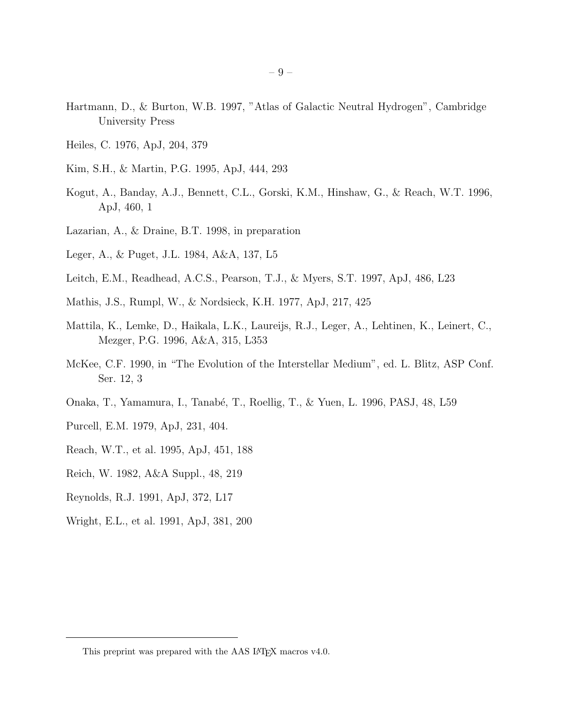- Hartmann, D., & Burton, W.B. 1997, "Atlas of Galactic Neutral Hydrogen", Cambridge University Press
- Heiles, C. 1976, ApJ, 204, 379
- Kim, S.H., & Martin, P.G. 1995, ApJ, 444, 293
- Kogut, A., Banday, A.J., Bennett, C.L., Gorski, K.M., Hinshaw, G., & Reach, W.T. 1996, ApJ, 460, 1
- Lazarian, A., & Draine, B.T. 1998, in preparation
- Leger, A., & Puget, J.L. 1984, A&A, 137, L5
- Leitch, E.M., Readhead, A.C.S., Pearson, T.J., & Myers, S.T. 1997, ApJ, 486, L23
- Mathis, J.S., Rumpl, W., & Nordsieck, K.H. 1977, ApJ, 217, 425
- Mattila, K., Lemke, D., Haikala, L.K., Laureijs, R.J., Leger, A., Lehtinen, K., Leinert, C., Mezger, P.G. 1996, A&A, 315, L353
- McKee, C.F. 1990, in "The Evolution of the Interstellar Medium", ed. L. Blitz, ASP Conf. Ser. 12, 3
- Onaka, T., Yamamura, I., Tanab´e, T., Roellig, T., & Yuen, L. 1996, PASJ, 48, L59
- Purcell, E.M. 1979, ApJ, 231, 404.
- Reach, W.T., et al. 1995, ApJ, 451, 188
- Reich, W. 1982, A&A Suppl., 48, 219
- Reynolds, R.J. 1991, ApJ, 372, L17
- Wright, E.L., et al. 1991, ApJ, 381, 200

<sup>– 9 –</sup>

This preprint was prepared with the AAS IATEX macros v4.0.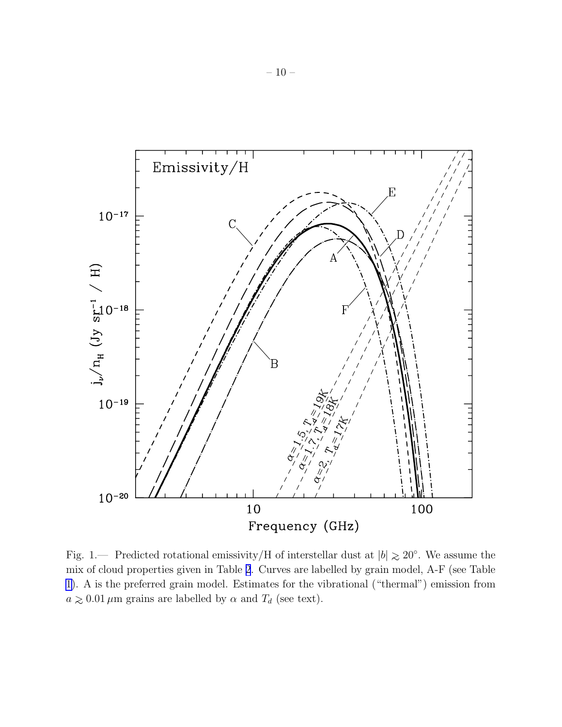<span id="page-9-0"></span>

Fig. 1.— Predicted rotational emissivity/H of interstellar dust at  $|b| \gtrsim 20^{\circ}$ . We assume the mix of cloud properties given in Table [2](#page-12-0). Curves are labelled by grain model, A-F (see Table [1\)](#page-12-0). A is the preferred grain model. Estimates for the vibrational ("thermal") emission from  $a \gtrsim 0.01 \mu m$  grains are labelled by  $\alpha$  and  $T_d$  (see text).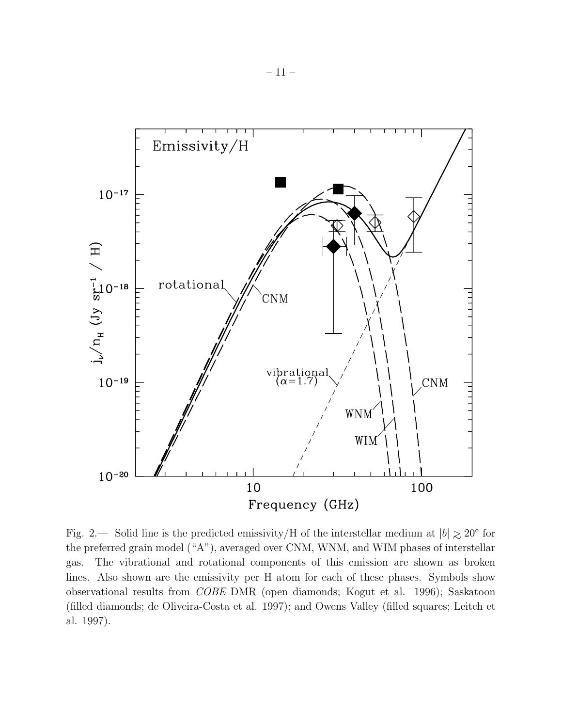<span id="page-10-0"></span>

Fig. 2.— Solid line is the predicted emissivity/H of the interstellar medium at  $|b| \gtrsim 20^{\circ}$  for the preferred grain model ("A"), averaged over CNM, WNM, and WIM phases of interstellar gas. The vibrational and rotational components of this emission are shown as broken lines. Also shown are the emissivity per H atom for each of these phases. Symbols show observational results from COBE DMR (open diamonds; Kogut et al. 1996); Saskatoon (filled diamonds; de Oliveira-Costa et al. 1997); and Owens Valley (filled squares; Leitch et al. 1997).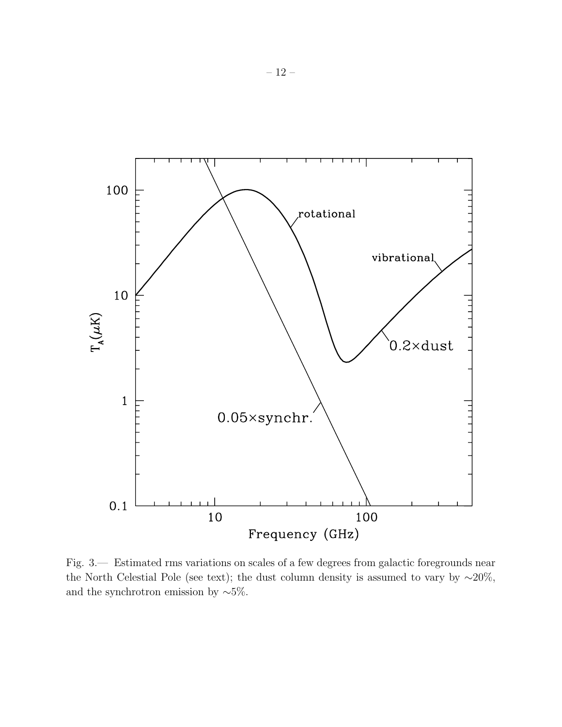<span id="page-11-0"></span>

Fig. 3.— Estimated rms variations on scales of a few degrees from galactic foregrounds near the North Celestial Pole (see text); the dust column density is assumed to vary by  $~\sim 20\%$ , and the synchrotron emission by  $~\sim 5\%$ .